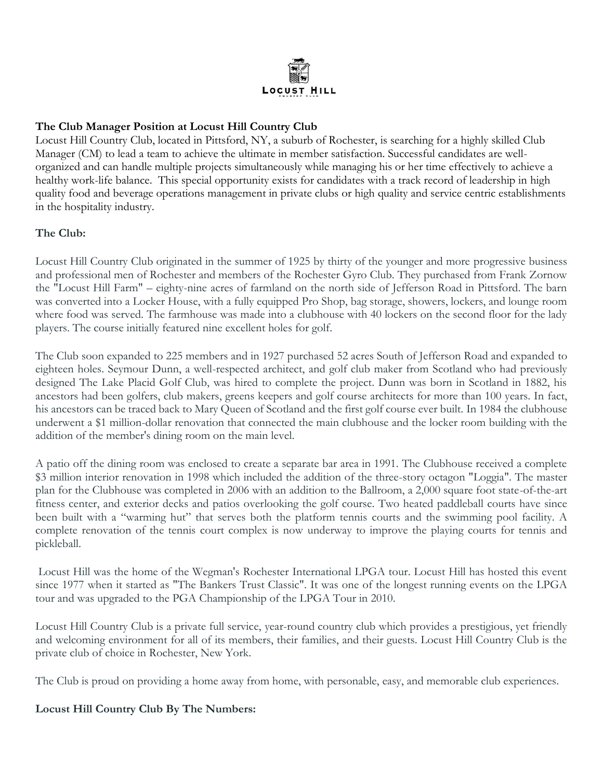

## **The Club Manager Position at Locust Hill Country Club**

Locust Hill Country Club, located in Pittsford, NY, a suburb of Rochester, is searching for a highly skilled Club Manager (CM) to lead a team to achieve the ultimate in member satisfaction. Successful candidates are wellorganized and can handle multiple projects simultaneously while managing his or her time effectively to achieve a healthy work-life balance. This special opportunity exists for candidates with a track record of leadership in high quality food and beverage operations management in private clubs or high quality and service centric establishments in the hospitality industry.

## **The Club:**

Locust Hill Country Club originated in the summer of 1925 by thirty of the younger and more progressive business and professional men of Rochester and members of the Rochester Gyro Club. They purchased from Frank Zornow the "Locust Hill Farm" – eighty-nine acres of farmland on the north side of Jefferson Road in Pittsford. The barn was converted into a Locker House, with a fully equipped Pro Shop, bag storage, showers, lockers, and lounge room where food was served. The farmhouse was made into a clubhouse with 40 lockers on the second floor for the lady players. The course initially featured nine excellent holes for golf.

The Club soon expanded to 225 members and in 1927 purchased 52 acres South of Jefferson Road and expanded to eighteen holes. Seymour Dunn, a well-respected architect, and golf club maker from Scotland who had previously designed The Lake Placid Golf Club, was hired to complete the project. Dunn was born in Scotland in 1882, his ancestors had been golfers, club makers, greens keepers and golf course architects for more than 100 years. In fact, his ancestors can be traced back to Mary Queen of Scotland and the first golf course ever built. In 1984 the clubhouse underwent a \$1 million-dollar renovation that connected the main clubhouse and the locker room building with the addition of the member's dining room on the main level.

A patio off the dining room was enclosed to create a separate bar area in 1991. The Clubhouse received a complete \$3 million interior renovation in 1998 which included the addition of the three-story octagon "Loggia". The master plan for the Clubhouse was completed in 2006 with an addition to the Ballroom, a 2,000 square foot state-of-the-art fitness center, and exterior decks and patios overlooking the golf course. Two heated paddleball courts have since been built with a "warming hut" that serves both the platform tennis courts and the swimming pool facility. A complete renovation of the tennis court complex is now underway to improve the playing courts for tennis and pickleball.

Locust Hill was the home of the Wegman's Rochester International LPGA tour. Locust Hill has hosted this event since 1977 when it started as "The Bankers Trust Classic". It was one of the longest running events on the LPGA tour and was upgraded to the PGA Championship of the LPGA Tour in 2010.

Locust Hill Country Club is a private full service, year-round country club which provides a prestigious, yet friendly and welcoming environment for all of its members, their families, and their guests. Locust Hill Country Club is the private club of choice in Rochester, New York.

The Club is proud on providing a home away from home, with personable, easy, and memorable club experiences.

#### **Locust Hill Country Club By The Numbers:**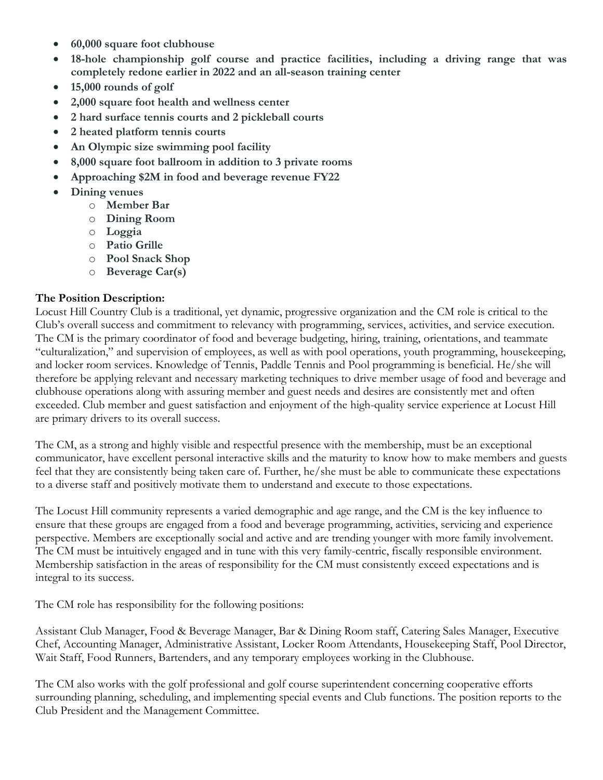- **60,000 square foot clubhouse**
- **18-hole championship golf course and practice facilities, including a driving range that was completely redone earlier in 2022 and an all-season training center**
- **15,000 rounds of golf**
- **2,000 square foot health and wellness center**
- **2 hard surface tennis courts and 2 pickleball courts**
- **2 heated platform tennis courts**
- **An Olympic size swimming pool facility**
- **8,000 square foot ballroom in addition to 3 private rooms**
- **Approaching \$2M in food and beverage revenue FY22**
- **Dining venues**
	- o **Member Bar**
	- o **Dining Room**
	- o **Loggia**
	- o **Patio Grille**
	- o **Pool Snack Shop**
	- o **Beverage Car(s)**

#### **The Position Description:**

Locust Hill Country Club is a traditional, yet dynamic, progressive organization and the CM role is critical to the Club's overall success and commitment to relevancy with programming, services, activities, and service execution. The CM is the primary coordinator of food and beverage budgeting, hiring, training, orientations, and teammate "culturalization," and supervision of employees, as well as with pool operations, youth programming, housekeeping, and locker room services. Knowledge of Tennis, Paddle Tennis and Pool programming is beneficial. He/she will therefore be applying relevant and necessary marketing techniques to drive member usage of food and beverage and clubhouse operations along with assuring member and guest needs and desires are consistently met and often exceeded. Club member and guest satisfaction and enjoyment of the high-quality service experience at Locust Hill are primary drivers to its overall success.

The CM, as a strong and highly visible and respectful presence with the membership, must be an exceptional communicator, have excellent personal interactive skills and the maturity to know how to make members and guests feel that they are consistently being taken care of. Further, he/she must be able to communicate these expectations to a diverse staff and positively motivate them to understand and execute to those expectations.

The Locust Hill community represents a varied demographic and age range, and the CM is the key influence to ensure that these groups are engaged from a food and beverage programming, activities, servicing and experience perspective. Members are exceptionally social and active and are trending younger with more family involvement. The CM must be intuitively engaged and in tune with this very family-centric, fiscally responsible environment. Membership satisfaction in the areas of responsibility for the CM must consistently exceed expectations and is integral to its success.

The CM role has responsibility for the following positions:

Assistant Club Manager, Food & Beverage Manager, Bar & Dining Room staff, Catering Sales Manager, Executive Chef, Accounting Manager, Administrative Assistant, Locker Room Attendants, Housekeeping Staff, Pool Director, Wait Staff, Food Runners, Bartenders, and any temporary employees working in the Clubhouse.

The CM also works with the golf professional and golf course superintendent concerning cooperative efforts surrounding planning, scheduling, and implementing special events and Club functions. The position reports to the Club President and the Management Committee.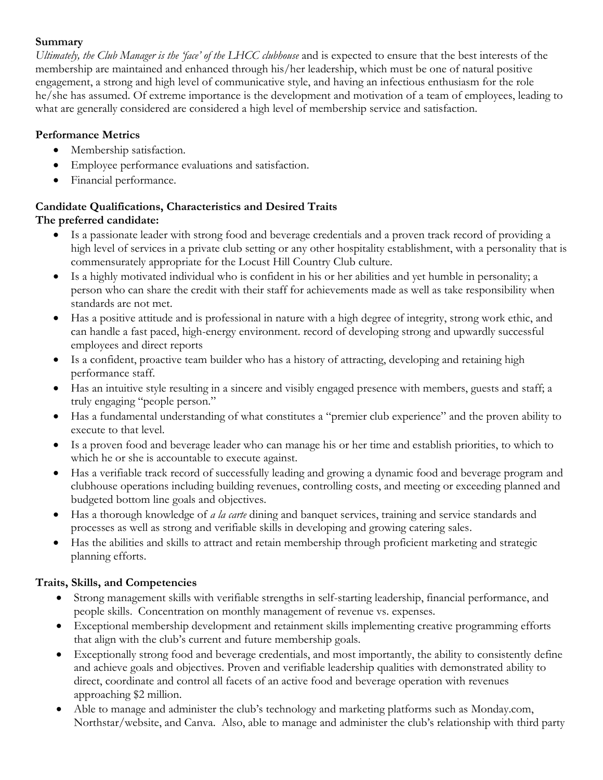## **Summary**

*Ultimately, the Club Manager is the 'face' of the LHCC clubhouse* and is expected to ensure that the best interests of the membership are maintained and enhanced through his/her leadership, which must be one of natural positive engagement, a strong and high level of communicative style, and having an infectious enthusiasm for the role he/she has assumed. Of extreme importance is the development and motivation of a team of employees, leading to what are generally considered are considered a high level of membership service and satisfaction.

# **Performance Metrics**

- Membership satisfaction.
- Employee performance evaluations and satisfaction.
- Financial performance.

#### **Candidate Qualifications, Characteristics and Desired Traits The preferred candidate:**

- Is a passionate leader with strong food and beverage credentials and a proven track record of providing a high level of services in a private club setting or any other hospitality establishment, with a personality that is commensurately appropriate for the Locust Hill Country Club culture.
- Is a highly motivated individual who is confident in his or her abilities and yet humble in personality; a person who can share the credit with their staff for achievements made as well as take responsibility when standards are not met.
- Has a positive attitude and is professional in nature with a high degree of integrity, strong work ethic, and can handle a fast paced, high-energy environment. record of developing strong and upwardly successful employees and direct reports
- Is a confident, proactive team builder who has a history of attracting, developing and retaining high performance staff.
- Has an intuitive style resulting in a sincere and visibly engaged presence with members, guests and staff; a truly engaging "people person."
- Has a fundamental understanding of what constitutes a "premier club experience" and the proven ability to execute to that level.
- Is a proven food and beverage leader who can manage his or her time and establish priorities, to which to which he or she is accountable to execute against.
- Has a verifiable track record of successfully leading and growing a dynamic food and beverage program and clubhouse operations including building revenues, controlling costs, and meeting or exceeding planned and budgeted bottom line goals and objectives.
- Has a thorough knowledge of *a la carte* dining and banquet services, training and service standards and processes as well as strong and verifiable skills in developing and growing catering sales.
- Has the abilities and skills to attract and retain membership through proficient marketing and strategic planning efforts.

# **Traits, Skills, and Competencies**

- Strong management skills with verifiable strengths in self-starting leadership, financial performance, and people skills. Concentration on monthly management of revenue vs. expenses.
- Exceptional membership development and retainment skills implementing creative programming efforts that align with the club's current and future membership goals.
- Exceptionally strong food and beverage credentials, and most importantly, the ability to consistently define and achieve goals and objectives. Proven and verifiable leadership qualities with demonstrated ability to direct, coordinate and control all facets of an active food and beverage operation with revenues approaching \$2 million.
- Able to manage and administer the club's technology and marketing platforms such as Monday.com, Northstar/website, and Canva. Also, able to manage and administer the club's relationship with third party